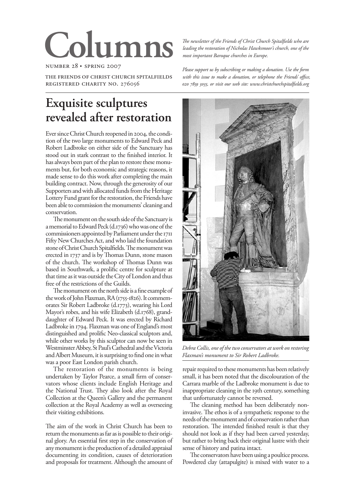# **Columns**

number 28 • spring 2007

the friends of christ church spitalfields registered charity no. 276056

# **Exquisite sculptures revealed after restoration**

Ever since Christ Church reopened in 2004, the condition of the two large monuments to Edward Peck and Robert Ladbroke on either side of the Sanctuary has stood out in stark contrast to the finished interior. It has always been part of the plan to restore these monuments but, for both economic and strategic reasons, it made sense to do this work after completing the main building contract. Now, through the generosity of our Supporters and with allocated funds from the Heritage Lottery Fund grant for the restoration, the Friends have been able to commission the monuments' cleaning and conservation.

The monument on the south side of the Sanctuary is a memorial to Edward Peck (d.1736) who was one of the commissioners appointed by Parliament under the 1711 Fifty New Churches Act, and who laid the foundation stone of Christ Church Spitalfields. The monument was erected in 1737 and is by Thomas Dunn, stone mason of the church. The workshop of Thomas Dunn was based in Southwark, a prolific centre for sculpture at that time as it was outside the City of London and thus free of the restrictions of the Guilds.

The monument on the north side is a fine example of the work of John Flaxman, RA (1755-1826). It commemorates Sir Robert Ladbroke (d.1773), wearing his Lord Mayor's robes, and his wife Elizabeth (d.1768), granddaughter of Edward Peck. It was erected by Richard Ladbroke in 1794. Flaxman was one of England's most distinguished and prolific Neo-classical sculptors and, while other works by this sculptor can now be seen in Westminster Abbey, St Paul's Cathedral and the Victoria and Albert Museum, it is surprising to find one in what was a poor East London parish church.

The restoration of the monuments is being undertaken by Taylor Pearce, a small firm of conservators whose clients include English Heritage and the National Trust. They also look after the Royal Collection at the Queen's Gallery and the permanent collection at the Royal Academy as well as overseeing their visiting exhibitions.

The aim of the work in Christ Church has been to return the monuments as far as is possible to their original glory. An essential first step in the conservation of any monument is the production of a detailed appraisal documenting its condition, causes of deterioration and proposals for treatment. Although the amount of *The newsletter of the Friends of Christ Church Spitalfields who are leading the restoration of Nicholas Hawksmoor's church, one of the most important Baroque churches in Europe.*

*Please support us by subscribing or making a donation. Use the form with this issue to make a donation, or telephone the Friends' office, , or visit our web site: www.christchurchspitalfields.org*



*Debra Collis, one of the two conservators at work on restoring Flaxman's monument to Sir Robert Ladbroke.*

repair required to these monuments has been relatively small, it has been noted that the discolouration of the Carrara marble of the Ladbroke monument is due to inappropriate cleaning in the 19th century, something that unfortunately cannot be reversed.

The cleaning method has been deliberately noninvasive. The ethos is of a sympathetic response to the needs of the monument and of conservation rather than restoration. The intended finished result is that they should not look as if they had been carved yesterday, but rather to bring back their original lustre with their sense of history and patina intact.

The conservators have been using a poultice process. Powdered clay (attapulgite) is mixed with water to a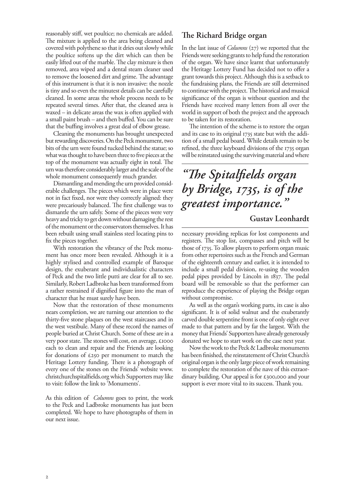reasonably stiff, wet poultice; no chemicals are added. The mixture is applied to the area being cleaned and covered with polythene so that it dries out slowly while the poultice softens up the dirt which can then be easily lifted out of the marble. The clay mixture is then removed, area wiped and a dental steam cleaner used to remove the loosened dirt and grime. The advantage of this instrument is that it is non invasive: the nozzle is tiny and so even the minutest details can be carefully cleaned. In some areas the whole process needs to be repeated several times. After that, the cleaned area is waxed – in delicate areas the wax is often applied with a small paint brush – and then buffed. You can be sure that the buffing involves a great deal of elbow grease.

Cleaning the monuments has brought unexpected but rewarding discoveries. On the Peck monument, two bits of the urn were found tucked behind the statue; so what was thought to have been three to five pieces at the top of the monument was actually eight in total. The urn was therefore considerably larger and the scale of the whole monument consequently much grander.

Dismantling and mending the urn provided considerable challenges. The pieces which were in place were not in fact fixed, nor were they correctly aligned: they were precariously balanced. The first challenge was to dismantle the urn safely. Some of the pieces were very heavy and tricky to get down without damaging the rest of the monument or the conservators themselves. It has been rebuilt using small stainless steel locating pins to fix the pieces together.

With restoration the vibrancy of the Peck monument has once more been revealed. Although it is a highly stylised and controlled example of Baroque design, the exuberant and individualistic characters of Peck and the two little putti are clear for all to see. Similarly, Robert Ladbroke has been transformed from a rather restrained if dignified figure into the man of character that he must surely have been.

Now that the restoration of these monuments nears completion, we are turning our attention to the thirty-five stone plaques on the west staircases and in the west vestibule. Many of these record the names of people buried at Christ Church. Some of these are in a very poor state. The stones will cost, on average, £1000 each to clean and repair and the Friends are looking for donations of £250 per monument to match the Heritage Lottery funding. There is a photograph of every one of the stones on the Friends' website www. christchurchspitalfields.org which Supporters may like to visit: follow the link to 'Monuments'.

As this edition of *Columns* goes to print, the work to the Peck and Ladbroke monuments has just been completed. We hope to have photographs of them in our next issue.

# **The Richard Bridge organ**

In the last issue of *Columns* (27) we reported that the Friends were seeking grants to help fund the restoration of the organ. We have since learnt that unfortunately the Heritage Lottery Fund has decided not to offer a grant towards this project. Although this is a setback to the fundraising plans, the Friends are still determined to continue with the project. The historical and musical significance of the organ is without question and the Friends have received many letters from all over the world in support of both the project and the approach to be taken for its restoration.

The intention of the scheme is to restore the organ and its case to its original 1735 state but with the addition of a small pedal board. While details remain to be refined, the three keyboard divisions of the 1735 organ will be reinstated using the surviving material and where

# *"The Spitalfields organ by Bridge, 1735, is of the greatest importance."*

# **Gustav Leonhardt**

necessary providing replicas for lost components and registers. The stop list, compasses and pitch will be those of 1735. To allow players to perform organ music from other repertoires such as the French and German of the eighteenth century and earlier, it is intended to include a small pedal division, re-using the wooden pedal pipes provided by Lincoln in 1837. The pedal board will be removable so that the performer can reproduce the experience of playing the Bridge organ without compromise.

As well as the organ's working parts, its case is also significant. It is of solid walnut and the exuberantly carved double serpentine front is one of only eight ever made to that pattern and by far the largest. With the money that Friends' Supporters have already generously donated we hope to start work on the case next year.

Now the work to the Peck & Ladbroke monuments has been finished, the reinstatement of Christ Church's original organ is the only large piece of work remaining to complete the restoration of the nave of this extraordinary building. Our appeal is for £300,000 and your support is ever more vital to its success. Thank you.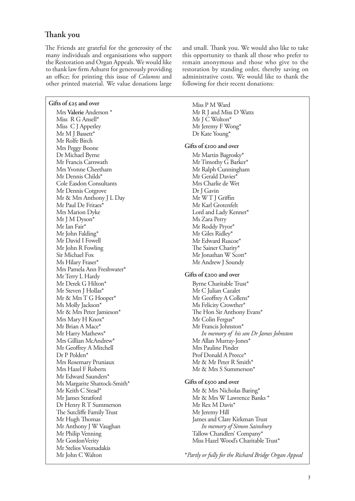# **Thank you**

The Friends are grateful for the generosity of the many individuals and organisations who support the Restoration and Organ Appeals. We would like to thank law firm Ashurst for generously providing an office; for printing this issue of *Columns* and other printed material. We value donations large

#### **Gifts of £25 and over**

Mrs **Valerie** Anderson \* Miss R G Ansell\* Miss C J Apperley Mr M J Bassett\* Mr Rolfe Birch Mrs Peggy Boone Dr Michael Byrne Mr Francis Carnwath Mrs Yvonne Cheetham Mr Dennis Childs\* Cole Easdon Consultants Mr Dennis Cotgrove Mr & Mrs Anthony J L Day Mr Paul De Fritaes\* Mrs Marion Dyke Mr J M Dyson\* Mr Ian Fair\* Mr John Falding\* Mr David I Fowell Mr John R Fowling Sir Michael Fox Ms Hilary Fraser\* Mrs Pamela Ann Freshwater\* Mr Terry L Hardy Mr Derek G Hilton\* Mr Steven J Hollas\* Mr & Mrs T G Hooper\* Ms Molly Jackson\* Mr & Mrs Peter Jamieson\* Mrs Mary H Knox\* Mr Brian A Mace\* Mr Harry Mathews\* Mrs Gillian McAndrew\* Mr Geoffrey A Mitchell Dr P Polden\* Mrs Rosemary Pruniaux Mrs Hazel F Roberts Mr Edward Saunders\* Ms Margarite Shattock-Smith\* Mr Keith C Stead\* Mr James Stratford Dr Henry R T Summerson The Sutcliffe Family Trust Mr Hugh Thomas Mr Anthony J W Vaughan Mr Philip Venning Mr GordonVerity Mr Stelios Voutsadakis Mr John C Walton

and small. Thank you. We would also like to take this opportunity to thank all those who prefer to remain anonymous and those who give to the restoration by standing order, thereby saving on administrative costs. We would like to thank the following for their recent donations:

Miss P M Ward Mr R J and Miss D Watts Mr J C Wolton\* Mr Jeremy F Wong\* Dr Kate Young\*

#### **Gifts of £100 and over**

Mr Martin Bagrosky\* Mr Timothy G Barker\* Mr Ralph Cunningham Mr Gerald Davies\* Mrs Charlie de Wet Dr J Gavin Mr WT J Griffin Mr Karl Grotenfelt Lord and Lady Kennet\* Ms Zara Perry Mr Roddy Pryor\* Mr Giles Ridley\* Mr Edward Ruscoe\* The Sainer Charity\* Mr Jonathan W Scott\* Mr Andrew J Soundy

#### **Gifts of £200 and over**

Byrne Charitable Trust\* Mr C Julian Cazalet Mr Geoffrey A Collens\* Ms Felicity Crowther\* The Hon Sir Anthony Evans\* Mr Colin Fergus\* Mr Francis Johnston\* *In memory of his son Dr James Johnston* Mr Allan Murray-Jones\* Mrs Pauline Pinder Prof Donald A Preece\* Mr & Mr Peter R Smith\* Mr & Mrs S Summerson\*

#### **Gifts of £500 and over**

Mr & Mrs Nicholas Baring\* Mr & Mrs W Lawrence Banks \* Mr Rex M Davis\* Mr Jeremy Hill James and Clare Kirkman Trust *In memory of Simon Sainsbury* Tallow Chandlers' Company\* Miss Hazel Wood's Charitable Trust\*

\**Partly or fully for the Richard Bridge Organ Appeal*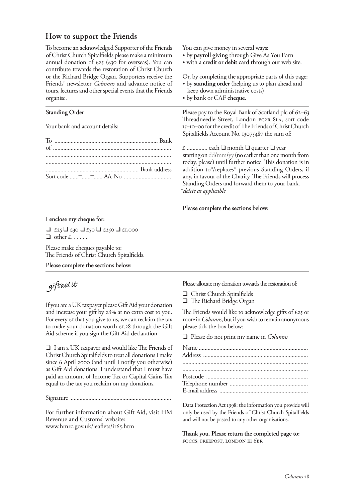# **How to support the Friends**

To become an acknowledged Supporter of the Friends of Christ Church Spitalfields please make a minimum annual donation of  $\epsilon$ 25 ( $\epsilon$ 30 for overseas). You can contribute towards the restoration of Christ Church or the Richard Bridge Organ. Supporters receive the Friends' newsletter *Columns* and advance notice of tours, lectures and other special events that the Friends organise.

## **Standing Order**

Your bank and account details:

You can give money in several ways:

- by **payroll giving** through Give As You Earn
- with a **credit or debit card** through our web site.

Or, by completing the appropriate parts of this page:

- by **standing order** (helping us to plan ahead and keep down administrative costs)
- by bank or CAF **cheque**.

Please pay to the Royal Bank of Scotland plc of  $62-63$ Threadneedle Street, London EC2R 8LA, sort code 15-10-00 for the credit of The Friends of Christ Church Spitalfields Account No. 13075487 the sum of:

£ .............. each ❑ month ❑ quarter ❑ year starting on dd/mm/yy (no earlier than one month from today, please) until further notice. This donation is in addition to\*/replaces\* previous Standing Orders, if any, in favour of the Charity. The Friends will process Standing Orders and forward them to your bank. \**delete as applicable*

## **Please complete the sections below:**

**I enclose my cheque for:**

 $\Box$  £25  $\Box$  £30  $\Box$  £50  $\Box$  £1,000  $\Box$  other £......

Please make cheques payable to: The Friends of Christ Church Spitalfields.

**Please complete the sections below:**

# giftaid it

If you are a UK taxpayer please Gift Aid your donation and increase your gift by 28% at no extra cost to you. For every  $\epsilon$  that you give to us, we can reclaim the tax to make your donation worth  $£1.28$  through the Gift Aid scheme if you sign the Gift Aid declaration.

❑ I am a UK taxpayer and would like The Friends of Christ Church Spitalfields to treat all donations I make since  $6$  April  $2000$  (and until I notify you otherwise) as Gift Aid donations. I understand that I must have paid an amount of Income Tax or Capital Gains Tax equal to the tax you reclaim on my donations.

Signature ....................................................................

For further information about Gift Aid, visit HM Revenue and Customs' website: www.hmrc.gov.uk/leaflets/ir65.htm

Please allocate my donation towards the restoration of:

- ❑ Christ Church Spitalfields
- ❑ The Richard Bridge Organ

The Friends would like to acknowledge gifts of  $\epsilon$ 25 or more in *Columns*, but if you wish to remain anonymous please tick the box below:

❑ Please do not print my name in *Columns*

| $\textbf{Postcode}\text{ } \dots \text{ } \dots \text{ } \dots \text{ } \dots \text{ } \dots \text{ } \dots \text{ } \dots \text{ } \dots \text{ } \dots \text{ } \dots \text{ } \dots \text{ } \dots \text{ } \dots \text{ } \dots \text{ } \dots \text{ } \dots \text{ } \dots \text{ } \dots \text{ } \dots \text{ } \dots \text{ } \dots \text{ } \dots \text{ } \dots \text{ } \dots \text{ } \dots \text{ } \dots \text{ } \dots \text{ } \dots \text{ } \dots \text{ } \dots \text{ } \dots \text{ } \dots \text{ } \dots \text{ } \dots \text{ } \dots \text{ }$ |
|--------------------------------------------------------------------------------------------------------------------------------------------------------------------------------------------------------------------------------------------------------------------------------------------------------------------------------------------------------------------------------------------------------------------------------------------------------------------------------------------------------------------------------------------------------------------------|
|                                                                                                                                                                                                                                                                                                                                                                                                                                                                                                                                                                          |

Data Protection Act 1998: the information you provide will only be used by the Friends of Christ Church Spitalfields and will not be passed to any other organisations.

**Thank you. Please return the completed page to:** FOCCS, FREEPOST, LONDON EI 6BR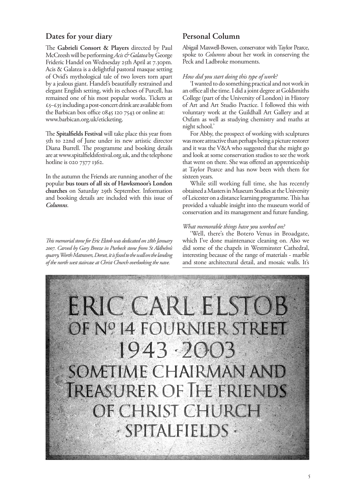# **Dates for your diary**

The **Gabrieli Consort & Players** directed by Paul McCreesh will be performing *Acis & Galatea* by George Frideric Handel on Wednesday 25th April at 7.30pm. Acis & Galatea is a delightful pastoral masque setting of Ovid's mythological tale of two lovers torn apart by a jealous giant. Handel's beautifully restrained and elegant English setting, with its echoes of Purcell, has remained one of his most popular works. Tickets at  $£5–£35$  including a post-concert drink are available from the Barbican box office 0845 120 7543 or online at: www.barbican.org.uk/eticketing.

The **Spitalfields Festival** will take place this year from 5th to 22nd of June under its new artistic director Diana Burrell. The programme and booking details are at www.spitalfieldsfestival.org.uk, and the telephone hotline is 020 7377 1362.

In the autumn the Friends are running another of the popular **bus tours of all six of Hawksmoor's London churches** on Saturday 29th September. Information and booking details are included with this issue of *Columns*.

*This memorial stone for Eric Elstob was dedicated on 28th January 2007. Carved by Gary Breeze in Purbeck stone from St Aldhelm's quarry, Worth Matravers, Dorset, it is fixed to the wall on the landing of the north west staircase at Christ Church overlooking the nave.*

# **Personal Column**

Abigail Maxwell-Bowen, conservator with Taylor Pearce, spoke to *Columns* about her work in conserving the Peck and Ladbroke monuments.

#### *How did you start doing this type of work?*

'I wanted to do something practical and not work in an office all the time. I did a joint degree at Goldsmiths College (part of the University of London) in History of Art and Art Studio Practice. I followed this with voluntary work at the Guildhall Art Gallery and at Oxfam as well as studying chemistry and maths at night school.'

For Abby, the prospect of working with sculptures was more attractive than perhaps being a picture restorer and it was the V&A who suggested that she might go and look at some conservation studios to see the work that went on there. She was offered an apprenticeship at Taylor Pearce and has now been with them for sixteen years.

While still working full time, she has recently obtained a Masters in Museum Studies at the University of Leicester on a distance learning programme. This has provided a valuable insight into the museum world of conservation and its management and future funding.

## *What memorable things have you worked on?*

'Well, there's the Botero Venus in Broadgate, which I've done maintenance cleaning on. Also we did some of the chapels in Westminster Cathedral, interesting because of the range of materials - marble and stone architectural detail, and mosaic walls. It's